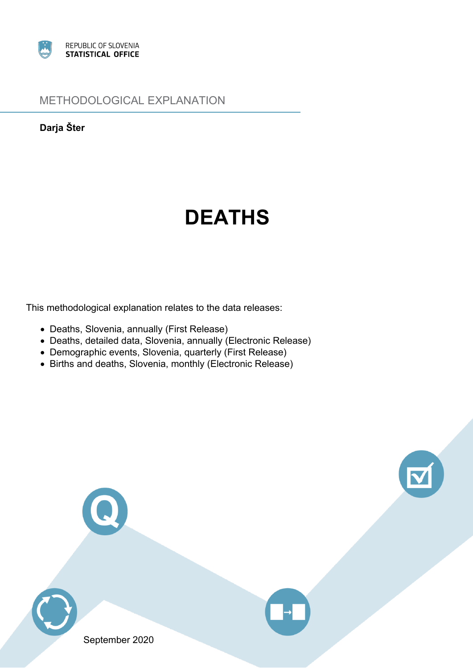

## METHODOLOGICAL EXPLANATION

**Darja Šter**

# **DEATHS**

This methodological explanation relates to the data releases:

- Deaths, Slovenia, annually (First Release)
- Deaths, detailed data, Slovenia, annually (Electronic Release)
- Demographic events, Slovenia, quarterly (First Release)
- Births and deaths, Slovenia, monthly (Electronic Release)







September 2020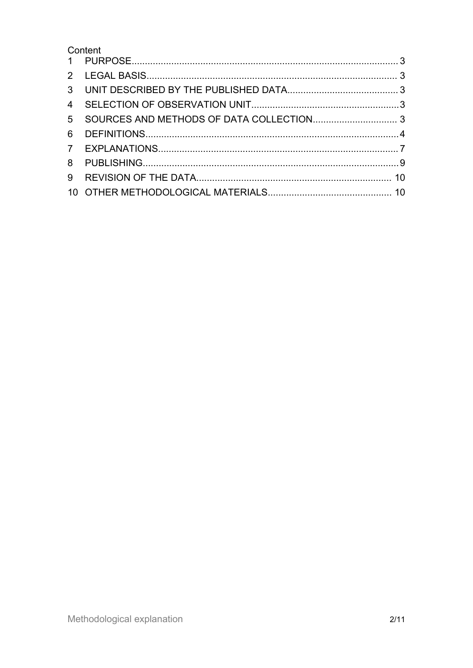## Content

| 3 <sup>1</sup> |  |
|----------------|--|
| $\overline{4}$ |  |
| 5 <sup>5</sup> |  |
| 6              |  |
|                |  |
| 8              |  |
| 9              |  |
|                |  |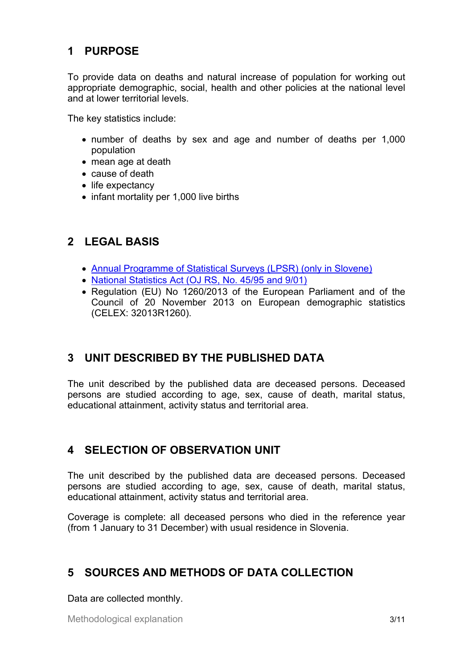# <span id="page-2-0"></span>**1 PURPOSE**

To provide data on deaths and natural increase of population for working out appropriate demographic, social, health and other policies at the national level and at lower territorial levels.

The key statistics include:

- number of deaths by sex and age and number of deaths per 1,000 population
- mean age at death
- cause of death
- life expectancy
- infant mortality per 1,000 live births

## **2 LEGAL BASIS**

- Annual [Programme](http://www.stat.si/statweb/en/LegislationAndDocuments/StatSurveys) of Statistical Surveys (LPSR) (only in Slovene)
- National [Statistics](http://www.stat.si/statweb/en/LegislationAndDocuments/ApplicRegul) Act (OJ RS, No. 45/95 and 9/01)
- Regulation (EU) No 1260/2013 of the European Parliament and of the Council of 20 November 2013 on European demographic statistics (CELEX: 32013R1260).

# **3 UNIT DESCRIBED BY THE PUBLISHED DATA**

The unit described by the published data are deceased persons. Deceased persons are studied according to age, sex, cause of death, marital status, educational attainment, activity status and territorial area.

## **4 SELECTION OF OBSERVATION UNIT**

The unit described by the published data are deceased persons. Deceased persons are studied according to age, sex, cause of death, marital status, educational attainment, activity status and territorial area.

Coverage is complete: all deceased persons who died in the reference year (from 1 January to 31 December) with usual residence in Slovenia.

## **5 SOURCES AND METHODS OF DATA COLLECTION**

Data are collected monthly.

Methodological explanation 3/11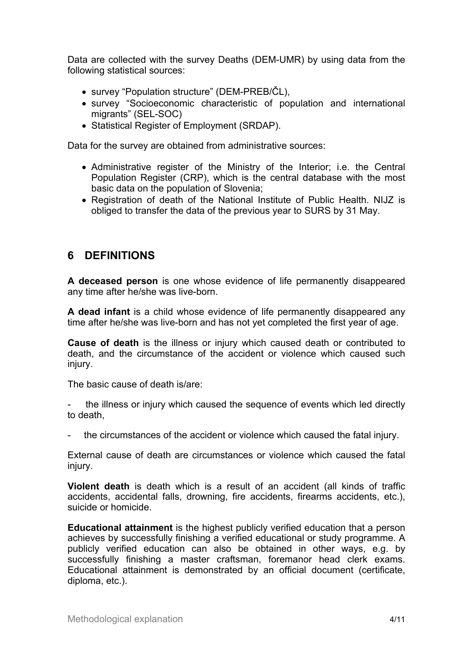<span id="page-3-0"></span>Data are collected with the survey Deaths (DEM-UMR) by using data from the following statistical sources:

- survey "Population structure" (DEM-PREB/ČL),
- survey "Socioeconomic characteristic of population and international migrants" (SEL-SOC)
- Statistical Register of Employment (SRDAP).

Data for the survey are obtained from administrative sources:

- Administrative register of the Ministry of the Interior; i.e. the Central Population Register (CRP), which is the central database with the most basic data on the population of Slovenia;
- Registration of death of the National Institute of Public Health. NIJZ is obliged to transfer the data of the previous year to SURS by 31 May.

## **6 DEFINITIONS**

**A deceased person** is one whose evidence of life permanently disappeared any time after he/she was live-born.

**A dead infant** is <sup>a</sup> child whose evidence of life permanently disappeared any time after he/she was live-born and has not yet completed the first year of age.

**Cause of death** is the illness or injury which caused death or contributed to death, and the circumstance of the accident or violence which caused such injury.

The basic cause of death is/are:

 the illness or injury which caused the sequence of events which led directly to death,

the circumstances of the accident or violence which caused the fatal injury.

External cause of death are circumstances or violence which caused the fatal injury.

**Violent death** is death which is <sup>a</sup> result of an accident (all kinds of traffic accidents, accidental falls, drowning, fire accidents, firearms accidents, etc.), suicide or homicide.

**Educational attainment** is the highest publicly verified education that <sup>a</sup> person achieves by successfully finishing <sup>a</sup> verified educational or study programme. A publicly verified education can also be obtained in other ways, e.g. by successfully finishing <sup>a</sup> master craftsman, foremanor head clerk exams. Educational attainment is demonstrated by an official document (certificate, diploma, etc.).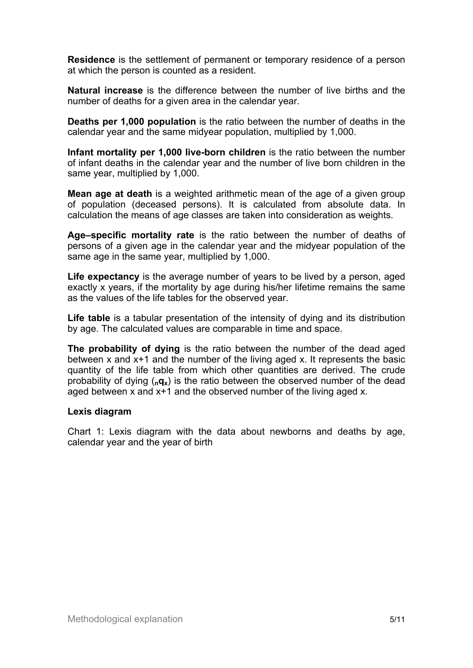**Residence** is the settlement of permanent or temporary residence of <sup>a</sup> person at which the person is counted as <sup>a</sup> resident.

**Natural increase** is the difference between the number of live births and the number of deaths for <sup>a</sup> given area in the calendar year.

**Deaths per 1,000 population** is the ratio between the number of deaths in the calendar year and the same midyear population, multiplied by 1,000.

**Infant mortality per 1,000 live-born children** is the ratio between the number of infant deaths in the calendar year and the number of live born children in the same year, multiplied by 1,000.

**Mean age at death** is <sup>a</sup> weighted arithmetic mean of the age of <sup>a</sup> given group of population (deceased persons). It is calculated from absolute data. In calculation the means of age classes are taken into consideration as weights.

**Age–specific mortality rate** is the ratio between the number of deaths of persons of <sup>a</sup> given age in the calendar year and the midyear population of the same age in the same year, multiplied by 1,000.

**Life expectancy** is the average number of years to be lived by <sup>a</sup> person, aged exactly <sup>x</sup> years, if the mortality by age during his/her lifetime remains the same as the values of the life tables for the observed year.

**Life table** is <sup>a</sup> tabular presentation of the intensity of dying and its distribution by age. The calculated values are comparable in time and space.

**The probability of dying** is the ratio between the number of the dead aged between <sup>x</sup> and x+1 and the number of the living aged x. It represents the basic quantity of the life table from which other quantities are derived. The crude probability of dying (**nqx**) is the ratio between the observed number of the dead aged between <sup>x</sup> and x+1 and the observed number of the living aged x.

#### **Lexis diagram**

Chart 1: Lexis diagram with the data about newborns and deaths by age, calendar year and the year of birth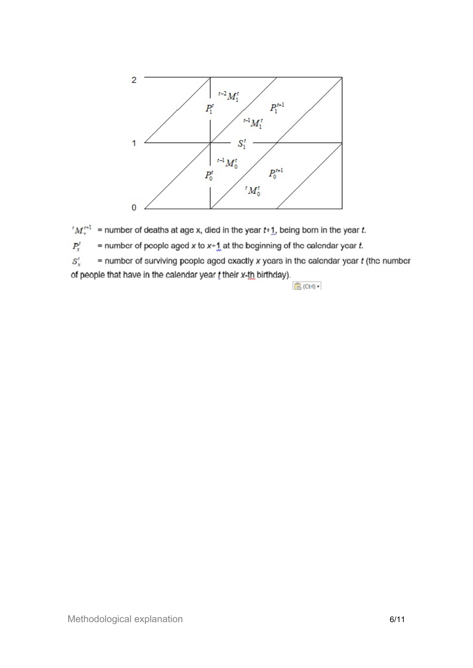

 $M_{x}^{t+1}$  = number of deaths at age x, died in the year t+1, being born in the year t.

 $P_{\rm x}^t$ = number of people aged x to  $x+1$  at the beginning of the calendar year t.

 $S_{\rm v}^t$  $=$  number of surviving people aged exactly x years in the calendar year  $t$  (the number of people that have in the calendar year t their x-th birthday).

 $\mathbb{R}$  (Ctrl)  $\star$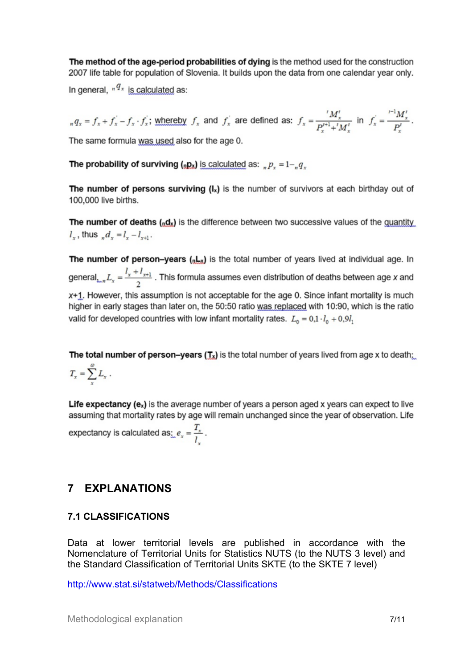<span id="page-6-0"></span>The method of the age-period probabilities of dying is the method used for the construction 2007 life table for population of Slovenia. It builds upon the data from one calendar year only.

In general,  $n^{q_x}$  is calculated as:

 $f_x = f_x + f_y - f_x \cdot f_x$ ; whereby  $f_x$  and  $f_x$  are defined as:  $f_x = \frac{f_x}{p^{t+1} + f_y}$  in  $f_x = \frac{f_x - f_y}{p^t}$ . The same formula was used also for the age 0.

The probability of surviving (<sub>0</sub>p<sub>x</sub>) is calculated as:  $_p p_x = 1 -_p q_x$ 

The number of persons surviving  $(I_x)$  is the number of survivors at each birthday out of 100,000 live births.

**The number of deaths**  $\binom{n}{k}$  is the difference between two successive values of the quantity  $l_{x}$ , thus  $d_{x} = l_{x} - l_{x+1}$ .

The number of person-years  $(nL_x)$  is the total number of years lived at individual age. In general<sub>kan</sub> $L_x = \frac{l_x + l_{x+1}}{2}$ . This formula assumes even distribution of deaths between age x and  $x+1$ . However, this assumption is not acceptable for the age 0. Since infant mortality is much higher in early stages than later on, the 50:50 ratio was replaced with 10:90, which is the ratio valid for developed countries with low infant mortality rates.  $L_0 = 0.1 \cdot l_0 + 0.9l_1$ 

The total number of person-years  $(T_x)$  is the total number of years lived from age x to death:  $T_x = \sum_{x=0}^{\infty} L_x$ .

**Life expectancy (ex)** is the average number of years a person aged x years can expect to live assuming that mortality rates by age will remain unchanged since the year of observation. Life expectancy is calculated as:  $e_x = \frac{T_x}{l}$ .

# **7 EXPLANATIONS**

### **7.1 CLASSIFICATIONS**

Data at lower territorial levels are published in accordance with the Nomenclature of Territorial Units for Statistics NUTS (to the NUTS 3 level) and the Standard Classification of Territorial Units SKTE (to the SKTE 7 level)

[http://www.stat.si/statweb/Methods/Classifications](http://www.stat.si/statweb/en/Methods/Classifications)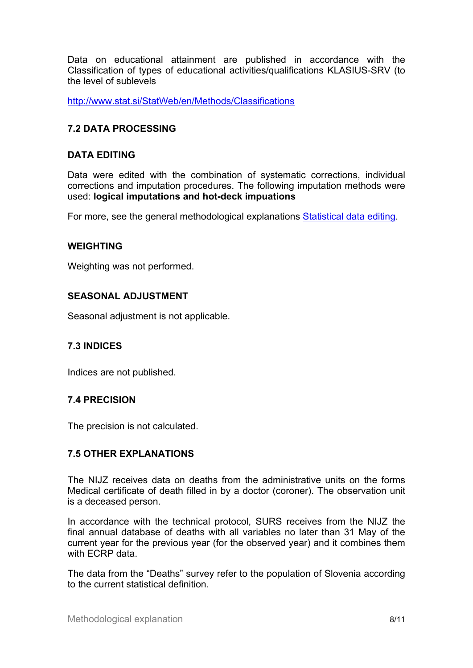Data on educational attainment are published in accordance with the Classification of types of educational activities/qualifications KLASIUS-SRV (to the level of sublevels

<http://www.stat.si/StatWeb/en/Methods/Classifications>

#### **7.2 DATA PROCESSING**

#### **DATA EDITING**

Data were edited with the combination of systematic corrections, individual corrections and imputation procedures. The following imputation methods were used: **logical imputations and hot-deck impuations**

For more, see the general methodological explanations [Statistical](https://www.stat.si/dokument/8906/StatisticalDataEditingMEgeneral.pdf) data editing.

#### **WEIGHTING**

Weighting was not performed.

#### **SEASONAL ADJUSTMENT**

Seasonal adjustment is not applicable.

#### **7.3 INDICES**

Indices are not published.

#### **7.4 PRECISION**

The precision is not calculated.

#### **7.5 OTHER EXPLANATIONS**

The NIJZ receives data on deaths from the administrative units on the forms Medical certificate of death filled in by <sup>a</sup> doctor (coroner). The observation unit is <sup>a</sup> deceased person.

In accordance with the technical protocol, SURS receives from the NIJZ the final annual database of deaths with all variables no later than 31 May of the current year for the previous year (for the observed year) and it combines them with ECRP data.

The data from the "Deaths" survey refer to the population of Slovenia according to the current statistical definition.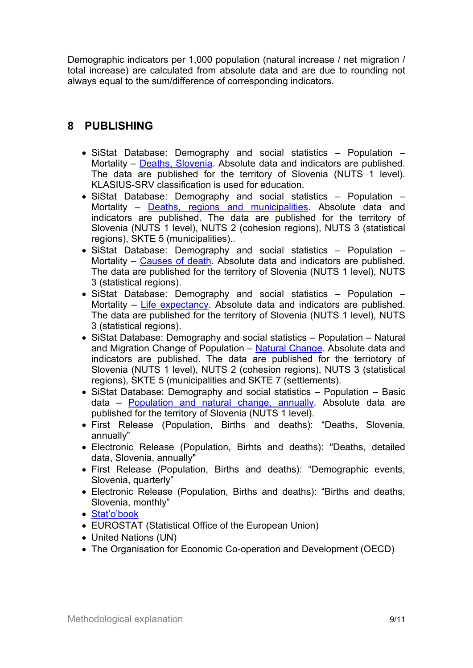<span id="page-8-0"></span>Demographic indicators per 1,000 population (natural increase / net migration / total increase) are calculated from absolute data and are due to rounding not always equal to the sum/difference of corresponding indicators.

## **8 PUBLISHING**

- SiStat Database: Demography and social statistics Population Mortality – [Deaths,](https://pxweb.stat.si/SiStatDb/pxweb/en/10_Dem_soc/10_Dem_soc__05_prebivalstvo__32_Umrljivost__05_05L10_umrli_SL/?tablelist=true) Slovenia. Absolute data and indicators are published. The data are published for the territory of Slovenia (NUTS 1 level). KLASIUS-SRV classification is used for education.
- SiStat Database: Demography and social statistics Population Mortality – Deaths, regions and [municipalities](https://pxweb.stat.si/SiStatDb/pxweb/en/10_Dem_soc/10_Dem_soc__05_prebivalstvo__32_Umrljivost__10_05L20_umrli_RE_OBC/?tablelist=true). Absolute data and indicators are published. The data are published for the territory of Slovenia (NUTS 1 level), NUTS 2 (cohesion regions), NUTS 3 (statistical regions), SKTE 5 (municipalities)..
- SiStat Database: Demography and social statistics Population Mortality – [Causes](https://pxweb.stat.si/SiStatDb/pxweb/en/10_Dem_soc/10_Dem_soc__05_prebivalstvo__32_Umrljivost__15_05L30_umrli-vzrok/?tablelist=true) of death. Absolute data and indicators are published. The data are published for the territory of Slovenia (NUTS 1 level), NUTS 3 (statistical regions).
- SiStat Database: Demography and social statistics Population Mortality – Life [expectancy](https://pxweb.stat.si/SiStatDb/pxweb/en/10_Dem_soc/10_Dem_soc__05_prebivalstvo__32_Umrljivost__20_05L40-trajanje-zivlj/?tablelist=true). Absolute data and indicators are published. The data are published for the territory of Slovenia (NUTS 1 level), NUTS 3 (statistical regions).
- SiStat Database: Demography and social statistics Population Natural and Migration [Change](https://pxweb.stat.si/SiStatDb/pxweb/en/10_Dem_soc/10_Dem_soc__05_prebivalstvo__25_selitveno_gibanje__05_05I10_naravno_gibanje/?tablelist=true) of Population - Natural Change. Absolute data and indicators are published. The data are published for the terriotory of Slovenia (NUTS 1 level), NUTS 2 (cohesion regions), NUTS 3 (statistical regions), SKTE 5 (municipalities and SKTE 7 (settlements).
- SiStat Database: Demography and social statistics Population Basic data – [Population](https://pxweb.stat.si/SiStatDb/pxweb/en/10_Dem_soc/10_Dem_soc__05_prebivalstvo__05_osnovni_podatki_preb__10_05A20_prebivalstvo_letno/?tablelist=true) and natural change, annually. Absolute data are published for the territory of Slovenia (NUTS 1 level).
- First Release (Population, Births and deaths): "Deaths, Slovenia, annually"
- Electronic Release (Population, Birhts and deaths): "Deaths, detailed data, Slovenia, annually"
- First Release (Population, Births and deaths): "Demographic events, Slovenia, quarterly"
- Electronic Release (Population, Births and deaths): "Births and deaths, Slovenia, monthly"
- Stat'o'[book](https://www.stat.si/StatWeb/en/Catalogue/Index)
- EUROSTAT (Statistical Office of the European Union)
- United Nations (UN)
- The Organisation for Economic Co-operation and Development (OECD)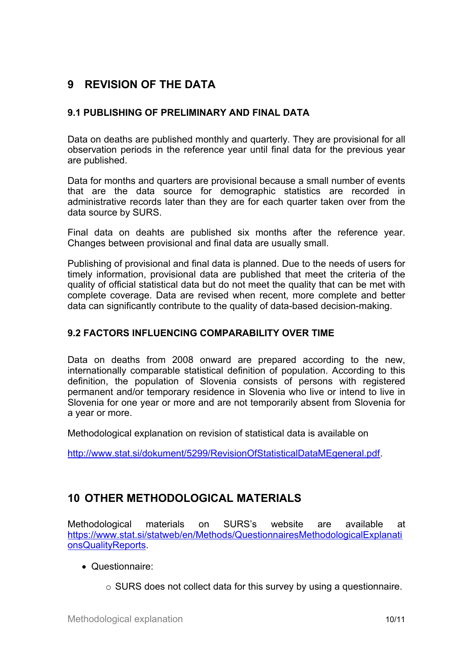# <span id="page-9-0"></span>**9 REVISION OF THE DATA**

#### **9.1 PUBLISHING OF PRELIMINARY AND FINAL DATA**

Data on deaths are published monthly and quarterly. They are provisional for all observation periods in the reference year until final data for the previous year are published.

Data for months and quarters are provisional because <sup>a</sup> small number of events that are the data source for demographic statistics are recorded in administrative records later than they are for each quarter taken over from the data source by SURS.

Final data on deahts are published six months after the reference year. Changes between provisional and final data are usually small.

Publishing of provisional and final data is planned. Due to the needs of users for timely information, provisional data are published that meet the criteria of the quality of official statistical data but do not meet the quality that can be met with complete coverage. Data are revised when recent, more complete and better data can significantly contribute to the quality of data-based decision-making.

#### **9.2 FACTORS INFLUENCING COMPARABILITY OVER TIME**

Data on deaths from 2008 onward are prepared according to the new, internationally comparable statistical definition of population. According to this definition, the population of Slovenia consists of persons with registered permanent and/or temporary residence in Slovenia who live or intend to live in Slovenia for one year or more and are not temporarily absent from Slovenia for a year or more.

Methodological explanation on revision of statistical data is available on

<http://www.stat.si/dokument/5299/RevisionOfStatisticalDataMEgeneral.pdf>.

## **10 OTHER METHODOLOGICAL MATERIALS**

Methodological materials on SURS'<sup>s</sup> website are available at [https://www.stat.si/statweb/en/Methods/QuestionnairesMethodologicalExplanati](https://www.stat.si/statweb/en/Methods/QuestionnairesMethodologicalExplanationsQualityReports) [onsQualityReports](https://www.stat.si/statweb/en/Methods/QuestionnairesMethodologicalExplanationsQualityReports).

- Questionnaire:
	- <sup>o</sup> SURS does not collect data for this survey by using <sup>a</sup> questionnaire.